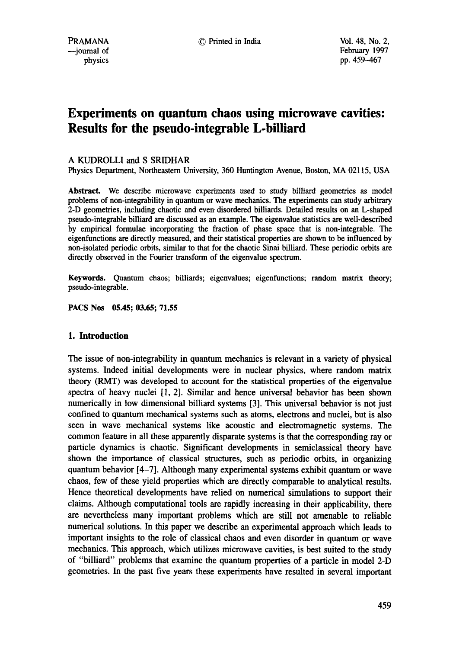# **Experiments on quantum chaos using microwave cavities: Results for the pseudo-integrable L-billiard**

# A KUDROLLI and S SRIDHAR

Physics Department, Northeastern University, 360 Huntington Avenue, Boston, MA 02115, USA

Abstract. We describe microwave experiments used to study billiard geometries as model problems of non-integrability in quantum or wave mechanics. The experiments can study arbitrary 2-D geometries, including chaotic and even. disordered billiards. Detailed results on an L-shaped pseudo-integrable billiard are discussed as an example. The eigenvalue statistics are well-described by empirical formulae incorporating the fraction of phase space that is non-integrable. The eigenfunctions are directly measured, and their statistical properties are shown to be influenced by non-isolated periodic orbits, similar to that for the chaotic Sinai billiard. These periodic orbits are directly observed in the Fourier transform of the eigenvalue spectrum.

Keywords. Quantum chaos; billiards; eigenvalues; eigenfunctions; random matrix theory; pseudo-integrable.

**PACS Nos 05.45; 03.65; 71.55** 

#### **1. Introduction**

The issue of non-integrability in quantum mechanics is relevant in a variety of physical systems. Indeed initial developments were in nuclear physics, where random matrix theory (RMT) was developed to account for the statistical properties of the eigenvalue spectra of heavy nuclei [1, 2]. Similar and hence universal behavior has been shown numerically in low dimensional billiard systems [3]. This universal behavior is not just confined to quantum mechanical systems such as atoms, electrons and nuclei, but is also seen in wave mechanical systems like acoustic and electromagnetic systems. The common feature in all these apparently disparate systems is that the corresponding ray or particle dynamics is chaotic. Significant developments in semiclassical theory have shown the importance of classical structures, such as periodic orbits, in organizing quantum behavior [4-7]. Although many experimental systems exhibit quantum or wave chaos, few of these yield properties which are directly comparable to analytical results. Hence theoretical developments have relied on numerical simulations to support their claims. Although computational tools are rapidly increasing in their applicability, there are nevertheless many important problems which are still not amenable to reliable numerical solutions. In this paper we describe an experimental approach which leads to important insights to the role of classical chaos and even disorder in quantum or wave mechanics. This approach, which utilizes microwave cavities, is best suited to the study of "billiard" problems that examine the quantum properties of a particle in model 2-D geometries. In the past five years these experiments have resulted in several important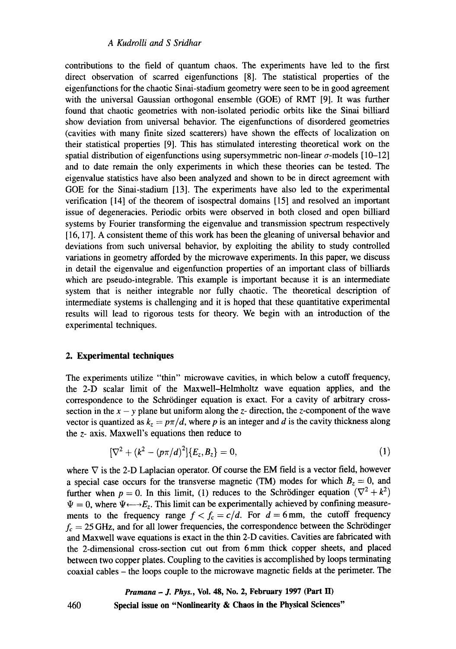## *A Kudrolli and S Sridhar*

contributions to the field of quantum chaos. The experiments have led to the first direct observation of scarred eigenfunctions [8]. The statistical properties of the eigenfunctions for the chaotic Sinai-stadium geometry were seen to be in good agreement with the universal Gaussian orthogonal ensemble (GOE) of RMT [9]. It was further found that chaotic geometries with non-isolated periodic orbits like the Sinai billiard show deviation from universal behavior. The eigenfunctions of disordered geometries (cavities with many finite sized scatterers) have shown the effects of localization on their statistical properties [9]. This has stimulated interesting theoretical work on the spatial distribution of eigenfunctions using supersymmetric non-linear  $\sigma$ -models [10-12] and to date remain the only experiments in which these theories can be tested. The eigenvalue statistics have also been analyzed and shown to be in direct agreement with GOE for the Sinai-stadium [13]. The experiments have also led to the experimental verification [14] of the theorem of isospectral domains [15] and resolved an important issue of degeneracies. Periodic orbits were observed in both closed and open billiard systems by Fourier transforming the eigenvalue and transmission spectrum respectively [16, 17]. A consistent theme of this work has been the gleaning of universal behavior and deviations from such universal behavior, by exploiting the ability to study controlled variations in geometry afforded by the microwave experiments. In this paper, we discuss in detail the eigenvalue and eigenfunction properties of an important class of billiards which are pseudo-integrable. This example is important because it is an intermediate system that is neither integrable nor fully chaotic. The theoretical description of intermediate systems is challenging and it is hoped that these quantitative experimental results will lead to rigorous tests for theory. We begin with an introduction of the experimental techniques.

# **2. Experimental techniques**

460

The experiments utilize "thin" microwave cavities, in which below a cutoff frequency, the 2-D scalar limit of the Maxwell-Helmholtz wave equation applies, and the correspondence to the Schrrdinger equation is exact. For a cavity of arbitrary crosssection in the  $x - y$  plane but uniform along the z- direction, the z-component of the wave vector is quantized as  $k_z = p\pi/d$ , where p is an integer and d is the cavity thickness along the z- axis. Maxwell's equations then reduce to

$$
[\nabla^2 + (k^2 - (p\pi/d)^2)]\{E_z, B_z\} = 0, \qquad (1)
$$

where  $\nabla$  is the 2-D Laplacian operator. Of course the EM field is a vector field, however a special case occurs for the transverse magnetic (TM) modes for which  $B_z = 0$ , and further when  $p = 0$ . In this limit, (1) reduces to the Schrödinger equation  $(\nabla^2 + k^2)$  $\Psi = 0$ , where  $\Psi \longleftrightarrow E_z$ . This limit can be experimentally achieved by confining measurements to the frequency range  $f < f_c = c/d$ . For  $d = 6$  mm, the cutoff frequency  $f_c = 25$  GHz, and for all lower frequencies, the correspondence between the Schrödinger and Maxwell wave equations is exact in the thin 2-D cavities. Cavities are fabricated with the 2-dimensional cross-section cut out from 6mm thick copper sheets, and placed between two copper plates. Coupling to the cavities is accomplished by loops terminating coaxial cables - the loops couple to the microwave magnetic fields at the perimeter. The

*Pramana - J. Phys.,* **Vol. 48, No. 2, February 1997 (Part H) Special issue on "Nonlinearity & Chaos in the Physical Sciences"**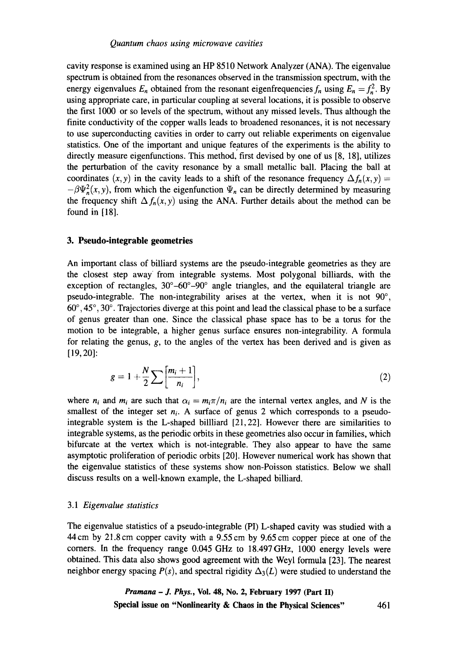cavity response is examined using an HP 8510 Network Analyzer (ANA). The eigenvalue spectrum is obtained from the resonances observed in the transmission spectrum, with the energy eigenvalues  $E_n$  obtained from the resonant eigenfrequencies  $f_n$  using  $E_n = f_n^2$ . By using appropriate care, in particular coupling at several locations, it is possible to observe the first 1000 or so levels of the spectrum, without any missed levels. Thus although the finite conductivity of the copper walls leads to broadened resonances, it is not necessary to use superconducting cavities in order to carry out reliable experiments on eigenvalue statistics. One of the important and unique features of the experiments is the ability to directly measure eigenfunctions. This method, first devised by one of us [8, 18], utilizes the perturbation of the cavity resonance by a small metallic ball. Placing the ball at coordinates  $(x, y)$  in the cavity leads to a shift of the resonance frequency  $\Delta f_n(x, y) =$  $-\beta \Psi_n^2(x, y)$ , from which the eigenfunction  $\Psi_n$  can be directly determined by measuring the frequency shift  $\Delta f_n(x, y)$  using the ANA. Further details about the method can be found in [18].

## **3. Pseudo-integrable geometries**

An important class of billiard systems are the pseudo-integrable geometries as they are the closest step away' from integrable systems. Most polygonal billiards, with the exception of rectangles,  $30^{\circ} - 60^{\circ} - 90^{\circ}$  angle triangles, and the equilateral triangle are pseudo-integrable. The non-integrability arises at the vertex, when it is not  $90^{\circ}$ ,  $60^\circ$ ,  $45^\circ$ ,  $30^\circ$ . Trajectories diverge at this point and lead the classical phase to be a surface of genus greater than one. Since the classical phase space has to be a torus for the motion to be integrable, a higher genus surface ensures non-integrability. A formula for relating the genus,  $g$ , to the angles of the vertex has been derived and is given as [19,20]:

$$
g=1+\frac{N}{2}\sum\left[\frac{m_i+1}{n_i}\right],\tag{2}
$$

where  $n_i$  and  $m_i$  are such that  $\alpha_i = m_i \pi / n_i$  are the internal vertex angles, and N is the smallest of the integer set  $n_i$ . A surface of genus 2 which corresponds to a pseudointegrable system is the L-shaped billliard [21,22]. However there are similarities to integrable systems, as the periodic orbits in these geometries also occur in families, which bifurcate at the vertex which is not-integrable. They also appear to have the same asymptotic proliferation of periodic orbits [20]. However numerical work has shown that the eigenvalue statistics of these systems show non-Poisson statistics. Below we shall discuss results on a well-known example, the L-shaped billiard.

## *3.1 Eigenvalue statistics*

The eigenvalue statistics of a pseudo-integrable (PI) L-shaped cavity was studied with a 44cm by 21.8 cm copper cavity with a 9.55 cm by 9.65 cm copper piece at one of the corners. In the frequency range 0.045 GHz to 18.497GHz, 1000 energy levels were obtained. This data also shows good agreement with the Weyl formula [23]. The nearest neighbor energy spacing  $P(s)$ , and spectral rigidity  $\Delta_3(L)$  were studied to understand the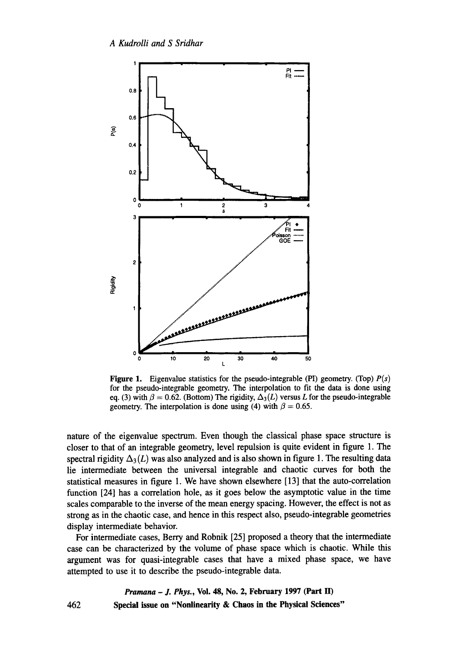

**Figure 1.** Eigenvalue statistics for the pseudo-integrable (PI) geometry. (Top)  $P(s)$ for the pseudo-integrable geometry. The interpolation to fit the data is done using eq. (3) with  $\beta = 0.62$ . (Bottom) The rigidity,  $\Delta_3(L)$  versus L for the pseudo-integrable geometry. The interpolation is done using (4) with  $\beta = 0.65$ .

nature of the eigenvalue spectrum. Even though the classical phase space structure is closer to that of an integrable geometry, level repulsion is quite evident in figure 1. The spectral rigidity  $\Delta_3(L)$  was also analyzed and is also shown in figure 1. The resulting data lie intermediate between the universal integrable and chaotic curves for both the statistical measures in figure 1. We have shown elsewhere [13] that the auto-correlation function [24] has a correlation hole, as it goes below the asymptotic value in the time scales comparable to the inverse of the mean energy spacing. However, the effect is not as strong as in the chaotic case, and hence in this respect also, pseudo-integrable geometries display intermediate behavior.

For intermediate cases, Berry and Robnik [25] proposed a theory that the intermediate case can be characterized by the volume of phase space which is chaotic. While this argument was for quasi-integrable cases that have a mixed phase space, we have attempted to use it to describe the pseudo-integrable data.

*Pramana - J. Phys.,* **Vol. 48, No. 2, February 1997 (Part II) 462 Special issue on "Nonlinearity & Chaos in the Physical Sciences"**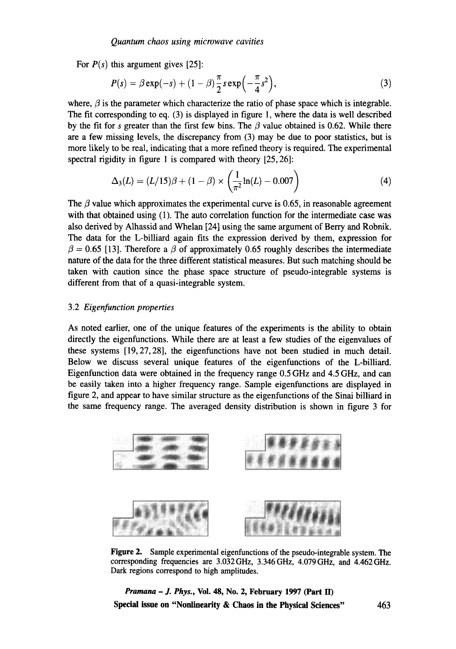For  $P(s)$  this argument gives [25]:

$$
P(s) = \beta \exp(-s) + (1 - \beta) \frac{\pi}{2} s \exp\left(-\frac{\pi}{4} s^2\right),\tag{3}
$$

where,  $\beta$  is the parameter which characterize the ratio of phase space which is integrable. The fit corresponding to eq. (3) is displayed in figure 1, where the data is well described by the fit for s greater than the first few bins. The  $\beta$  value obtained is 0.62. While there are a few missing levels, the discrepancy from (3) may be due to poor statistics, but is more likely to be real, indicating that a more refined theory is required. The experimental spectral rigidity in figure 1 is compared with theory [25, 26]:

$$
\Delta_3(L) = (L/15)\beta + (1-\beta) \times \left(\frac{1}{\pi^2}\ln(L) - 0.007\right)
$$
 (4)

The  $\beta$  value which approximates the experimental curve is 0.65, in reasonable agreement with that obtained using (1). The auto correlation function for the intermediate case was also derived by Alhassid and Whelan [24] using the same argument of Berry and Robnik. The data for the L-billiard again fits the expression derived by them, expression for  $\beta = 0.65$  [13]. Therefore a  $\beta$  of approximately 0.65 roughly describes the intermediate nature of the data for the three different statistical measures. But such matching should be taken with caution since the phase space structure of pseudo-integrable systems is different from that of a quasi-integrable system.

#### 3.2 *Eigenfunction properties*

As noted earlier, one of the unique features of the experiments is the ability to obtain directly the eigenfunctions. While there are at least a few studies of the eigenvalues of these systems [19,27,28], the eigenfunctions have not been studied in much detail. Below we discuss several unique features of the eigenfunctions of the L-billiard. Eigenfunction data were obtained in the frequency range 0.5 GHz and 4.5 GHz, and can be easily taken into a higher frequency range. Sample eigenfunctions are displayed in figure 2, and appear to have similar structure as the eigenfunctions of the Sinai billiard in the same frequency range. The averaged density distribution is shown in figure 3 for



Figure 2. Sample experimental eigenfunctions of the pseudo-integrable system. The corresponding frequencies are 3.032 GHz, 3.346 GHz, 4.079 GHz, and 4.462 GHz. Dark regions correspond to high amplitudes.

*Pramana - J. Phys.,* **Vol. 48, No. 2, February 1997 (Part II) Spedal issue on "Nonlinearity & Chaos in the Physical Sciences"** 463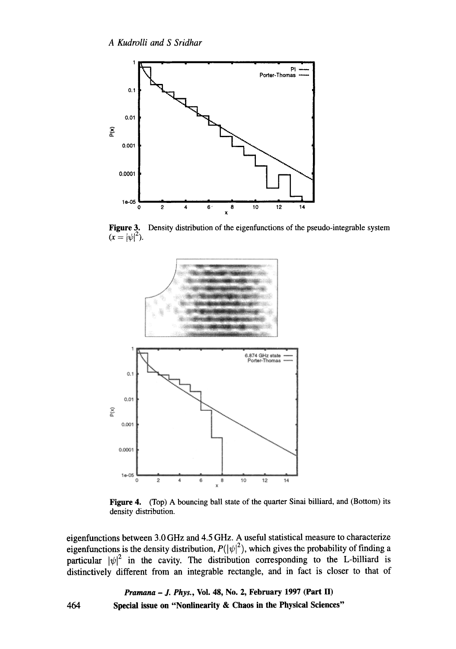

**Figure 3. Density distribution of the eigenfunctions of the pseudo-integrable system**   $(x = |\psi|^2)$ .



Figure 4. (Top) A bouncing ball state of the quarter Sinai billiard, and (Bottom) its **density distribution.** 

**eigenfunctions between 3.0 GHz and 4.5 GHz. A useful statistical measure to characterize**  eigenfunctions is the density distribution,  $P(|\psi|^2)$ , which gives the probability of finding a **particular**  $|\psi|^2$  in the cavity. The distribution corresponding to the L-billiard is **distinctively different from an integrable rectangle, and in fact is closer to that of** 

> *Pramana - J. Phys.,* **Vol. 48, No. 2, February 1997 (Part II) Special issue on "Nonlinearity & Chaos in the Physical Sciences"**

**464**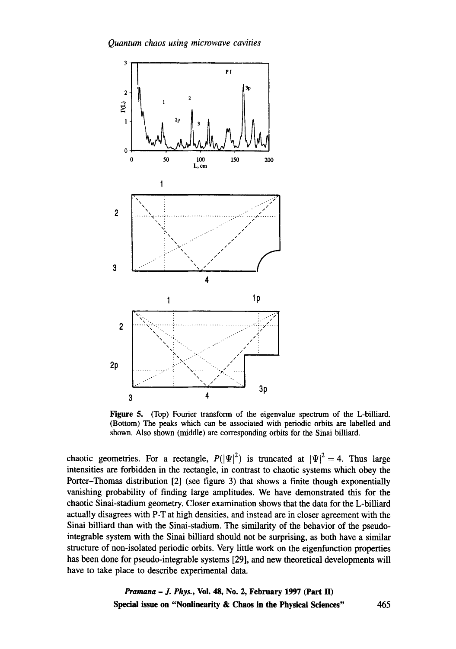

shown. Also shown (middle) are corresponding orbits for the Sinai billiard. (Bottom) The peaks which can be associated with periodic orbits are labelled and **Figure 5.** (Top) Fourier transform of the eigenvalue spectrum of the L-billiard.

have to take place to describe experimental data. has been done for pseudo-integrable systems [29], and new theoretical developments will structure of non-isolated periodic orbits. Very little work on the eigenfunction properties integrable system with the Sinai billiard should not be surprising, as both have a similar Sinai billiard than with the Sinai-stadium. The similarity of the behavior of the pseudoactually disagrees with P-T at high densities, and instead are in closer agreement with the chaotic Sinai-stadium geometry. Closer examination shows that the data for the L-billiard vanishing probability of finding large amplitudes. We have demonstrated this for the Porter-Thomas distribution [2] (see figure 3) that shows a finite though exponentially intensities are forbidden in the rectangle, in contrast to chaotic systems which obey the chaotic geometries. For a rectangle,  $P(|\Psi|^2)$  is truncated at  $|\Psi|^2 = 4$ . Thus large

> **Special issue on "Nonlinearity & Chaos in the Physical Sciences"** 465 *Pramana - J. Phys., Vol. 48, No. 2, February 1997 (Part II)*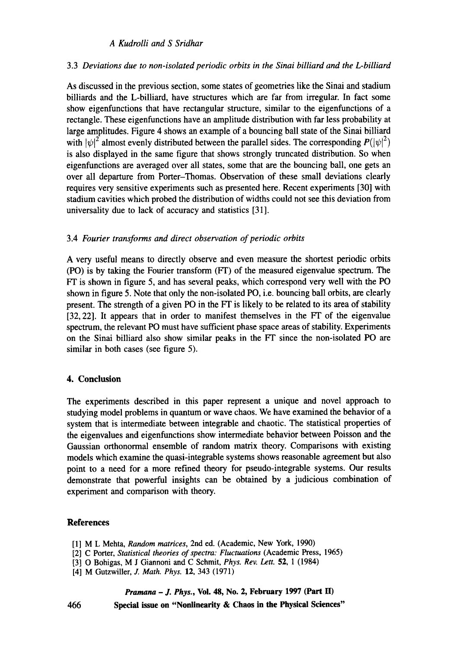# *A Kudrolli and S Sridhar*

# 3.3 *Deviations due to non-isolated periodic orbits in the Sinai billiard and the L-billiard*

As discussed in the previous section, some states of geometries like the Sinai and stadium billiards and the L-billiard, have structures which are far from irregular. In fact some show eigenfunctions that have rectangular structure, similar to the eigenfunctions of a rectangle. These eigenfunctions have an amplitude distribution with far less probability at large amplitudes. Figure 4 shows an example of a bouncing ball state of the Sinai billiard with  $|\psi|^2$  almost evenly distributed between the parallel sides. The corresponding  $P(|\psi|^2)$ is also displayed in the same figure that shows strongly truncated distribution. So when eigenfunctions are averaged over all states, some that are the bouncing ball, one gets an over all departure from Porter-Thomas. Observation of these small deviations clearly requires very sensitive experiments such as presented here. Recent experiments [30] with stadium cavities which probed the distribution of widths could not see this deviation from universality due to lack of accuracy and statistics [31 ].

## 3.4 *Fourier transforms and direct observation of periodic orbits*

A very useful means to directly observe and even measure the shortest periodic orbits (PO) is by taking the Fourier transform (FT) of the measured eigenvalue spectrum. The  $FT$  is shown in figure 5, and has several peaks, which correspond very well with the PO shown in figure 5. Note that only the non-isolated PO, i.e. bouncing ball orbits, are clearly present. The strength of a given PO in the FT is likely to be related to its area of stability [32, 22]. It appears that in order to manifest themselves in the FT of the eigenvalue spectrum, the relevant PO must have sufficient phase space areas of stability. Experiments on the Sinai billiard also show similar peaks in the FT since the non-isolated PO are similar in both cases (see figure 5).

# **4. Conclusion**

The experiments described in this paper represent a unique and novel approach to studying model problems in quantum or wave chaos. We have examined the behavior of a system that is intermediate between integrable and chaotic. The statistical properties of the eigenvalues and eigenfunctions show intermediate behavior between Poisson and the Gaussian orthonormal ensemble of random matrix theory. Comparisons with existing models which examine the quasi-integrable systems shows reasonable agreement but also point to a need for a more refined theory for pseudo-integrable systems. Our results demonstrate that powerful insights can be obtained by a judicious combination of experiment and comparison with theory.

#### **References**

- [1] M L Mehta, *Random matrices,* 2nd ed. (Academic, New York, 1990)
- [2] C Porter, *Statistical theories of spectra: Fluctuations* (Academic Press, 1965)
- [3] O Bohigas, M J Giannoni and C Schmit, *Phys. Rev. Lett.* 52, 1 (1984)
- [4] M Gutzwiller, *J. Math. Phys.* 12, 343 (1971)

*Pranmna - J. Phys.,* **Vol. 48, No. 2, February 1997 (Part II)** 

**Special issue on "Nonlinearity & Chaos in the Physical Sciences"** 

466